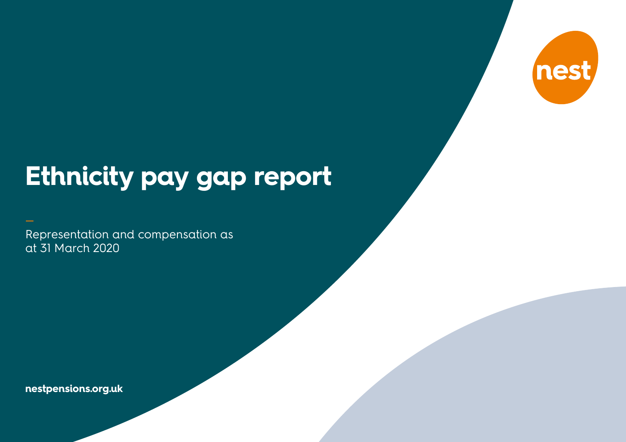

# **Ethnicity pay gap report**

Representation and compensation as at 31 March 2020

**nestpensions.org.uk**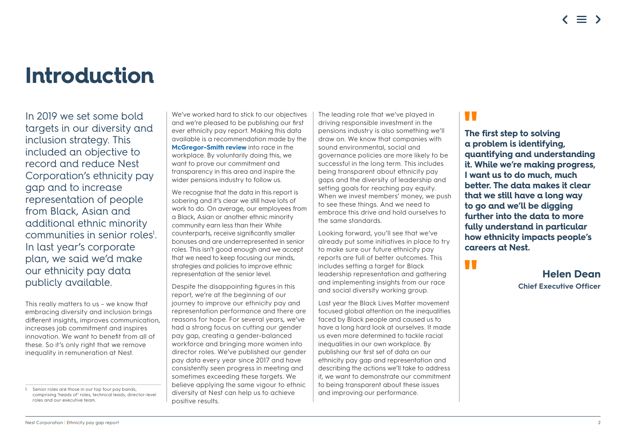### **Introduction**

In 2019 we set some bold targets in our diversity and inclusion strategy. This included an objective to record and reduce Nest Corporation's ethnicity pay gap and to increase representation of people from Black, Asian and additional ethnic minority communities in senior roles<sup>1</sup>. In last year's corporate plan, we said we'd make our ethnicity pay data publicly available.

This really matters to us – we know that embracing diversity and inclusion brings different insights, improves communication, increases job commitment and inspires innovation. We want to benefit from all of these. So it's only right that we remove inequality in remuneration at Nest.

We've worked hard to stick to our objectives and we're pleased to be publishing our first ever ethnicity pay report. Making this data available is a recommendation made by the **McGregor-Smith review** into race in the workplace. By voluntarily doing this, we want to prove our commitment and transparency in this area and inspire the wider pensions industry to follow us.

We recognise that the data in this report is sobering and it's clear we still have lots of work to do. On average, our employees from a Black, Asian or another ethnic minority community earn less than their White counterparts, receive significantly smaller bonuses and are underrepresented in senior roles. This isn't good enough and we accept that we need to keep focusing our minds, strategies and policies to improve ethnic representation at the senior level.

Despite the disappointing figures in this report, we're at the beginning of our journey to improve our ethnicity pay and representation performance and there are reasons for hope. For several years, we've had a strong focus on cutting our gender pay gap, creating a gender-balanced workforce and bringing more women into director roles. We've published our gender pay data every year since 2017 and have consistently seen progress in meeting and sometimes exceeding these targets. We believe applying the same vigour to ethnic diversity at Nest can help us to achieve positive results.

The leading role that we've played in driving responsible investment in the pensions industry is also something we'll draw on. We know that companies with sound environmental, social and governance policies are more likely to be successful in the long term. This includes being transparent about ethnicity pay gaps and the diversity of leadership and setting goals for reaching pay equity. When we invest members' money, we push to see these things. And we need to embrace this drive and hold ourselves to the same standards.

Looking forward, you'll see that we've already put some initiatives in place to try to make sure our future ethnicity pay reports are full of better outcomes. This includes setting a target for Black leadership representation and gathering and implementing insights from our race and social diversity working group.

Last year the Black Lives Matter movement focused global attention on the inequalities faced by Black people and caused us to have a long hard look at ourselves. It made us even more determined to tackle racial inequalities in our own workplace. By publishing our first set of data on our ethnicity pay gap and representation and describing the actions we'll take to address it, we want to demonstrate our commitment to being transparent about these issues and improving our performance.

### **TIME**

U T

**The first step to solving a problem is identifying, quantifying and understanding it. While we're making progress, I want us to do much, much better. The data makes it clear that we still have a long way to go and we'll be digging further into the data to more fully understand in particular how ethnicity impacts people's careers at Nest.** 

> **Helen Dean Chief Executive Officer**

<sup>1</sup> Senior roles are those in our top four pay bands, comprising 'heads of' roles, technical leads, director-level roles and our executive team.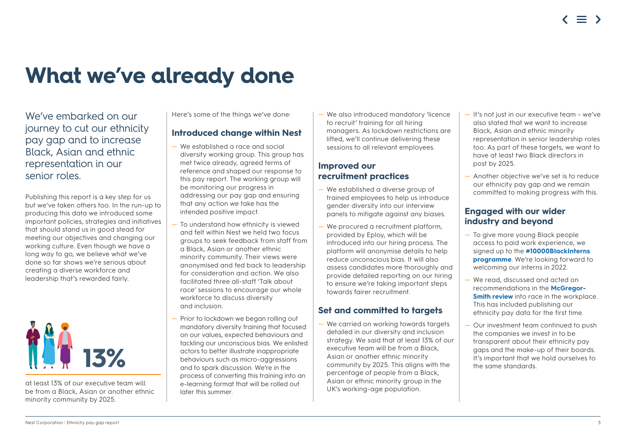## **What we've already done**

We've embarked on our journey to cut our ethnicity pay gap and to increase Black, Asian and ethnic representation in our senior roles.

Publishing this report is a key step for us but we've taken others too. In the run-up to producing this data we introduced some important policies, strategies and initiatives that should stand us in good stead for meeting our objectives and changing our working culture. Even though we have a long way to go, we believe what we've done so far shows we're serious about creating a diverse workforce and leadership that's rewarded fairly.



at least 13% of our executive team will be from a Black, Asian or another ethnic minority community by 2025.

Here's some of the things we've done:

#### **Introduced change within Nest**

- We established a race and social diversity working group. This group has met twice already, agreed terms of reference and shaped our response to this pay report. The working group will be monitoring our progress in addressing our pay gap and ensuring that any action we take has the intended positive impact.
- To understand how ethnicity is viewed and felt within Nest we held two focus groups to seek feedback from staff from a Black, Asian or another ethnic minority community. Their views were anonymised and fed back to leadership for consideration and action. We also facilitated three all-staff 'Talk about race' sessions to encourage our whole workforce to discuss diversity and inclusion.
- Prior to lockdown we began rolling out mandatory diversity training that focused on our values, expected behaviours and tackling our unconscious bias. We enlisted actors to better illustrate inappropriate behaviours such as micro-aggressions and to spark discussion. We're in the process of converting this training into an e-learning format that will be rolled out later this summer.

— We also introduced mandatory 'licence to recruit' training for all hiring managers. As lockdown restrictions are lifted, we'll continue delivering these sessions to all relevant employees.

#### **Improved our recruitment practices**

- We established a diverse group of trained employees to help us introduce gender diversity into our interview panels to mitigate against any biases.
- We procured a recruitment platform, provided by Eploy, which will be introduced into our hiring process. The platform will anonymise details to help reduce unconscious bias. It will also assess candidates more thoroughly and provide detailed reporting on our hiring to ensure we're taking important steps towards fairer recruitment.

#### **Set and committed to targets**

— We carried on working towards targets detailed in our diversity and inclusion strategy. We said that at least 13% of our executive team will be from a Black, Asian or another ethnic minority community by 2025. This aligns with the percentage of people from a Black, Asian or ethnic minority group in the UK's working-age population.

- It's not just in our executive team we've also stated that we want to increase Black, Asian and ethnic minority representation in senior leadership roles too. As part of these targets, we want to have at least two Black directors in post by 2025.
- Another objective we've set is to reduce our ethnicity pay gap and we remain committed to making progress with this.

#### **Engaged with our wider industry and beyond**

- To give more young Black people access to paid work experience, we signed up to the **[#10000BlackInterns](https://www.10000blackinterns.com/programme)  [programme](https://www.10000blackinterns.com/programme)**. We're looking forward to welcoming our interns in 2022.
- We read, discussed and acted on recommendations in the **[McGregor-](https://www.gov.uk/government/publications/race-in-the-workplace-the-mcgregor-smith-review)[Smith review](https://www.gov.uk/government/publications/race-in-the-workplace-the-mcgregor-smith-review)** into race in the workplace. This has included publishing our ethnicity pay data for the first time.
- Our investment team continued to push the companies we invest in to be transparent about their ethnicity pay gaps and the make-up of their boards. It's important that we hold ourselves to the same standards.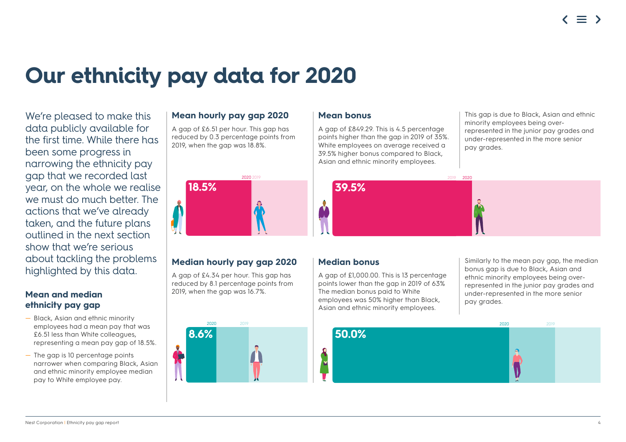## **Our ethnicity pay data for 2020**

We're pleased to make this data publicly available for the first time. While there has been some progress in narrowing the ethnicity pay gap that we recorded last year, on the whole we realise we must do much better. The actions that we've already taken, and the future plans outlined in the next section show that we're serious about tackling the problems highlighted by this data.

#### **Mean and median ethnicity pay gap**

- Black, Asian and ethnic minority employees had a mean pay that was £6.51 less than White colleagues, representing a mean pay gap of 18.5%.
- The gap is 10 percentage points narrower when comparing Black, Asian and ethnic minority employee median pay to White employee pay.

#### **Mean hourly pay gap 2020**

A gap of £6.51 per hour. This gap has reduced by 0.3 percentage points from 2019, when the gap was 18.8%.



#### **Median hourly pay gap 2020**

A gap of £4.34 per hour. This gap has reduced by 8.1 percentage points from 2019, when the gap was 16.7%.

| 2019 |
|------|

#### **Mean bonus**

A gap of £849.29. This is 4.5 percentage points higher than the gap in 2019 of 35%. White employees on average received a 39.5% higher bonus compared to Black, Asian and ethnic minority employees.

This gap is due to Black, Asian and ethnic minority employees being overrepresented in the junior pay grades and under-represented in the more senior pay grades.



#### **Median bonus**

A gap of £1,000.00. This is 13 percentage points lower than the gap in 2019 of 63% The median bonus paid to White employees was 50% higher than Black, Asian and ethnic minority employees.

Similarly to the mean pay gap, the median bonus gap is due to Black, Asian and ethnic minority employees being overrepresented in the junior pay grades and under-represented in the more senior pay grades.

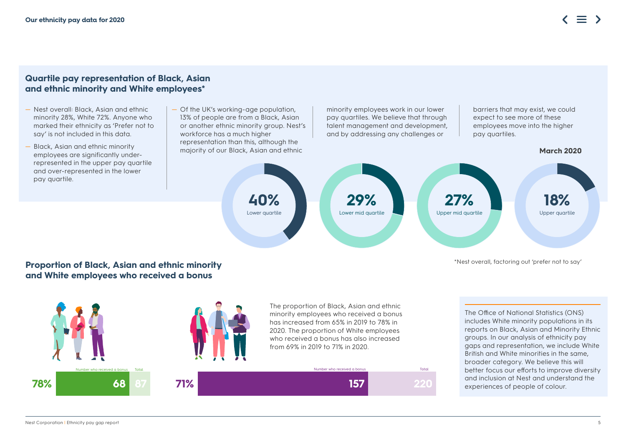#### **Quartile pay representation of Black, Asian and ethnic minority and White employees\***

- Nest overall: Black, Asian and ethnic minority 28%, White 72%. Anyone who marked their ethnicity as 'Prefer not to say' is not included in this data.
- Black, Asian and ethnic minority employees are significantly underrepresented in the upper pay quartile and over-represented in the lower pay quartile.
- Of the UK's working-age population, 13% of people are from a Black, Asian or another ethnic minority group. Nest's workforce has a much higher representation than this, although the majority of our Black, Asian and ethnic **March 2020**

minority employees work in our lower pay quartiles. We believe that through talent management and development, and by addressing any challenges or

barriers that may exist, we could expect to see more of these employees move into the higher pay quartiles.



\*Nest overall, factoring out 'prefer not to say'

#### **Proportion of Black, Asian and ethnic minority and White employees who received a bonus**



The Office of National Statistics (ONS) includes White minority populations in its reports on Black, Asian and Minority Ethnic groups. In our analysis of ethnicity pay gaps and representation, we include White British and White minorities in the same, broader category. We believe this will better focus our efforts to improve diversity and inclusion at Nest and understand the experiences of people of colour.